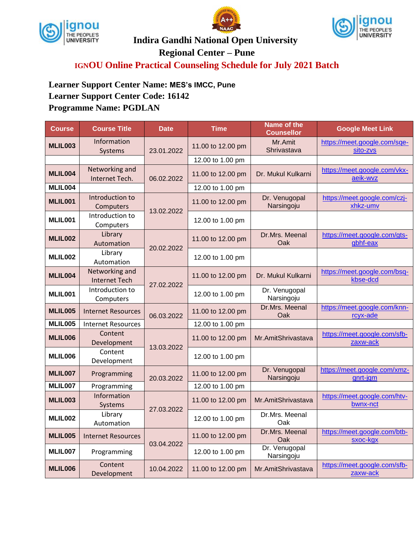





**Indira Gandhi National Open University**

**Regional Center – Pune**

**IGNOU Online Practical Counseling Schedule for July 2021 Batch**

**Learner Support Center Name: MES's IMCC, Pune Learner Support Center Code: 16142 Programme Name: PGDLAN**

| <b>Course</b>  | <b>Course Title</b>                    | <b>Date</b> | <b>Time</b>       | Name of the<br><b>Counsellor</b> | <b>Google Meet Link</b>                  |
|----------------|----------------------------------------|-------------|-------------------|----------------------------------|------------------------------------------|
| MLIL003        | Information<br>Systems                 | 23.01.2022  | 11.00 to 12.00 pm | Mr.Amit<br>Shrivastava           | https://meet.google.com/sqe-<br>sito-zvs |
|                |                                        |             | 12.00 to 1.00 pm  |                                  |                                          |
| MLIL004        | Networking and<br>Internet Tech.       | 06.02.2022  | 11.00 to 12.00 pm | Dr. Mukul Kulkarni               | https://meet.google.com/vkx-<br>aeik-wvz |
| MLIL004        |                                        |             | 12.00 to 1.00 pm  |                                  |                                          |
| MLIL001        | Introduction to<br>Computers           | 13.02.2022  | 11.00 to 12.00 pm | Dr. Venugopal<br>Narsingoju      | https://meet.google.com/czj-<br>xhkz-umv |
| MLIL001        | Introduction to<br>Computers           |             | 12.00 to 1.00 pm  |                                  |                                          |
| MLIL002        | Library<br>Automation                  | 20.02.2022  | 11.00 to 12.00 pm | Dr.Mrs. Meenal<br>Oak            | https://meet.google.com/gts-<br>gbhf-eax |
| MLIL002        | Library<br>Automation                  |             | 12.00 to 1.00 pm  |                                  |                                          |
| MLIL004        | Networking and<br><b>Internet Tech</b> | 27.02.2022  | 11.00 to 12.00 pm | Dr. Mukul Kulkarni               | https://meet.google.com/bsq-<br>kbse-dcd |
| MLIL001        | Introduction to<br>Computers           |             | 12.00 to 1.00 pm  | Dr. Venugopal<br>Narsingoju      |                                          |
| <b>MLIL005</b> | <b>Internet Resources</b>              | 06.03.2022  | 11.00 to 12.00 pm | Dr.Mrs. Meenal<br>Oak            | https://meet.google.com/knn-<br>rcyx-ade |
| <b>MLIL005</b> | <b>Internet Resources</b>              |             | 12.00 to 1.00 pm  |                                  |                                          |
| <b>MLIL006</b> | Content<br>Development                 | 13.03.2022  | 11.00 to 12.00 pm | Mr.AmitShrivastava               | https://meet.google.com/sfb-<br>zaxw-ack |
| MLIL006        | Content<br>Development                 |             | 12.00 to 1.00 pm  |                                  |                                          |
| MLIL007        | Programming                            | 20.03.2022  | 11.00 to 12.00 pm | Dr. Venugopal<br>Narsingoju      | https://meet.google.com/xmz-<br>qnrt-jqm |
| MLIL007        | Programming                            |             | 12.00 to 1.00 pm  |                                  |                                          |
| <b>MLIL003</b> | Information<br>Systems                 | 27.03.2022  | 11.00 to 12.00 pm | Mr.AmitShrivastava               | https://meet.google.com/htv-<br>bwnx-nct |
| MLIL002        | Library<br>Automation                  |             | 12.00 to 1.00 pm  | Dr.Mrs. Meenal<br>Oak            |                                          |
| <b>MLIL005</b> | <b>Internet Resources</b>              | 03.04.2022  | 11.00 to 12.00 pm | Dr.Mrs. Meenal<br>Oak            | https://meet.google.com/btb-<br>sxoc-kgx |
| MLIL007        | Programming                            |             | 12.00 to 1.00 pm  | Dr. Venugopal<br>Narsingoju      |                                          |
| MLIL006        | Content<br>Development                 | 10.04.2022  | 11.00 to 12.00 pm | Mr.AmitShrivastava               | https://meet.google.com/sfb-<br>zaxw-ack |